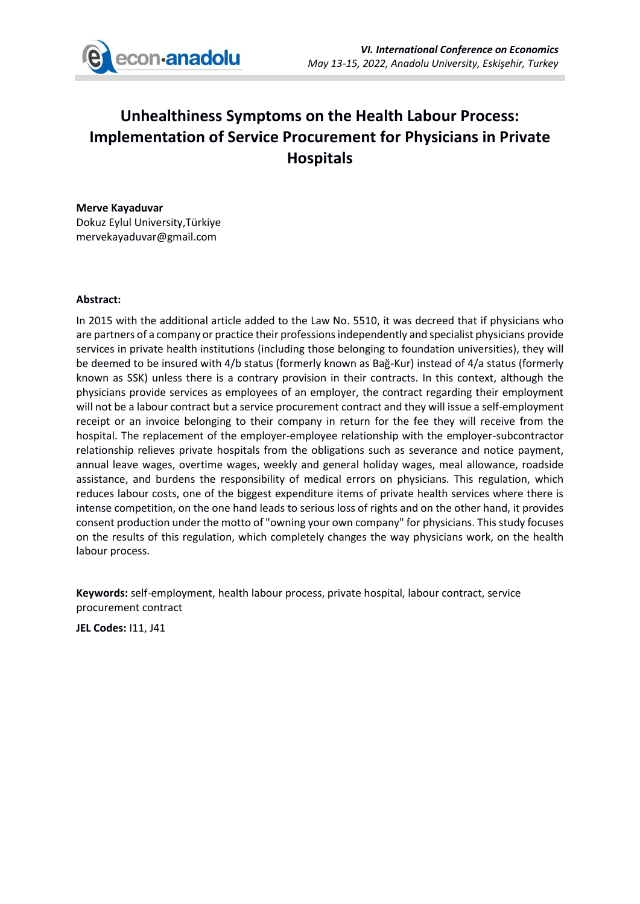

# **Unhealthiness Symptoms on the Health Labour Process: Implementation of Service Procurement for Physicians in Private Hospitals**

#### **Merve Kayaduvar**

Dokuz Eylul University,Türkiye mervekayaduvar@gmail.com

### **Abstract:**

In 2015 with the additional article added to the Law No. 5510, it was decreed that if physicians who are partners of a company or practice their professions independently and specialist physicians provide services in private health institutions (including those belonging to foundation universities), they will be deemed to be insured with 4/b status (formerly known as Bağ-Kur) instead of 4/a status (formerly known as SSK) unless there is a contrary provision in their contracts. In this context, although the physicians provide services as employees of an employer, the contract regarding their employment will not be a labour contract but a service procurement contract and they will issue a self-employment receipt or an invoice belonging to their company in return for the fee they will receive from the hospital. The replacement of the employer-employee relationship with the employer-subcontractor relationship relieves private hospitals from the obligations such as severance and notice payment, annual leave wages, overtime wages, weekly and general holiday wages, meal allowance, roadside assistance, and burdens the responsibility of medical errors on physicians. This regulation, which reduces labour costs, one of the biggest expenditure items of private health services where there is intense competition, on the one hand leads to serious loss of rights and on the other hand, it provides consent production under the motto of "owning your own company" for physicians. This study focuses on the results of this regulation, which completely changes the way physicians work, on the health labour process.

**Keywords:** self-employment, health labour process, private hospital, labour contract, service procurement contract

**JEL Codes:** I11, J41